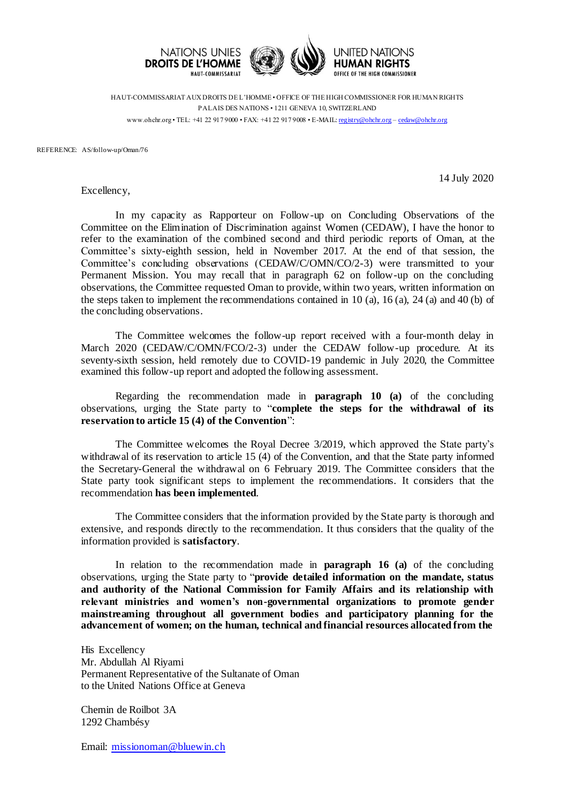

HAUT-COMMISSARIAT AUX DROITS DE L'HOMME • OFFICE OF THE HIGH COMMISSIONER FOR HUMAN RIGHTS PALAIS DES NATIONS • 1211 GENEVA 10, SWITZERLAND www.ohchr.org • TEL: +41 22 917 9000 • FAX: +41 22 917 9008 • E-MAIL: [registry@ohchr.org](mailto:registry@ohchr.org) – [cedaw@ohchr.org](mailto:cedaw@ohchr.org)

REFERENCE: AS/follow-up/Oman/76

14 July 2020

Excellency,

In my capacity as Rapporteur on Follow-up on Concluding Observations of the Committee on the Elimination of Discrimination against Women (CEDAW), I have the honor to refer to the examination of the combined second and third periodic reports of Oman, at the Committee's sixty-eighth session, held in November 2017. At the end of that session, the Committee's concluding observations (CEDAW/C/OMN/CO/2-3) were transmitted to your Permanent Mission. You may recall that in paragraph 62 on follow-up on the concluding observations, the Committee requested Oman to provide, within two years, written information on the steps taken to implement the recommendations contained in 10 (a), 16 (a), 24 (a) and 40 (b) of the concluding observations.

The Committee welcomes the follow-up report received with a four-month delay in March 2020 (CEDAW/C/OMN/FCO/2-3) under the CEDAW follow-up procedure. At its seventy-sixth session, held remotely due to COVID-19 pandemic in July 2020, the Committee examined this follow-up report and adopted the following assessment.

Regarding the recommendation made in **paragraph 10 (a)** of the concluding observations, urging the State party to "**complete the steps for the withdrawal of its reservation to article 15 (4) of the Convention**":

The Committee welcomes the Royal Decree 3/2019, which approved the State party's withdrawal of its reservation to article 15 (4) of the Convention, and that the State party informed the Secretary-General the withdrawal on 6 February 2019. The Committee considers that the State party took significant steps to implement the recommendations. It considers that the recommendation **has been implemented**.

The Committee considers that the information provided by the State party is thorough and extensive, and responds directly to the recommendation. It thus considers that the quality of the information provided is **satisfactory**.

In relation to the recommendation made in **paragraph 16 (a)** of the concluding observations, urging the State party to "**provide detailed information on the mandate, status and authority of the National Commission for Family Affairs and its relationship with relevant ministries and women's non-governmental organizations to promote gender mainstreaming throughout all government bodies and participatory planning for the advancement of women; on the human, technical and financial resources allocated from the** 

His Excellency Mr. Abdullah Al Riyami Permanent Representative of the Sultanate of Oman to the United Nations Office at Geneva

Chemin de Roilbot 3A 1292 Chambésy

Email: [missionoman@bluewin.ch](mailto:missionoman@bluewin.ch)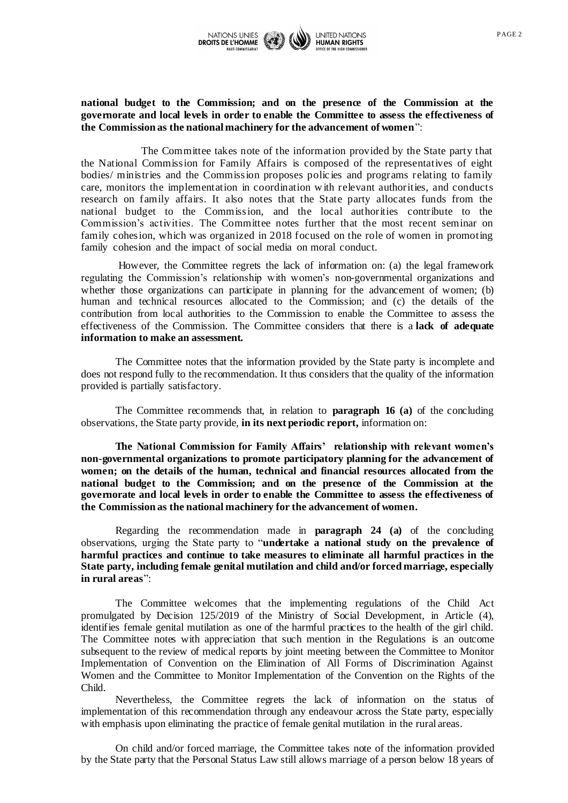

## **national budget to the Commission; and on the presence of the Commission at the governorate and local levels in order to enable the Committee to assess the effectiveness of the Commission as the national machinery for the advancement of women**":

The Committee takes note of the information provided by the State party that the National Commission for Family Affairs is composed of the representatives of eight bodies/ ministries and the Commission proposes polic ies and programs relating to family care, monitors the implementation in coordination w ith relevant authorities, and conducts research on family affairs. It also notes that the State party allocates funds from the national budget to the Commission, and the local authorities contribute to the Commission's activities. The Committee notes further that the most recent seminar on family cohesion, which was organized in 2018 focused on the role of women in promoting family cohesion and the impact of social media on moral conduct.

However, the Committee regrets the lack of information on: (a) the legal framework regulating the Commission's relationship with women's non-governmental organizations and whether those organizations can participate in planning for the advancement of women; (b) human and technical resources allocated to the Commission; and (c) the details of the contribution from local authorities to the Commission to enable the Committee to assess the effectiveness of the Commission. The Committee considers that there is a **lack of adequate information to make an assessment.**

The Committee notes that the information provided by the State party is incomplete and does not respond fully to the recommendation. It thus considers that the quality of the information provided is partially satisfactory.

The Committee recommends that, in relation to **paragraph 16 (a)** of the concluding observations, the State party provide, **in its next periodic report,** information on:

**The National Commission for Family Affairs' relationship with relevant women's non-governmental organizations to promote participatory planning for the advancement of women; on the details of the human, technical and financial resources allocated from the national budget to the Commission; and on the presence of the Commission at the governorate and local levels in order to enable the Committee to assess the effectiveness of the Commission as the national machinery for the advancement of women.**

Regarding the recommendation made in **paragraph 24 (a)** of the concluding observations, urging the State party to "**undertake a national study on the prevalence of harmful practices and continue to take measures to eliminate all harmful practices in the State party, including female genital mutilation and child and/or forced marriage, especially in rural areas**":

The Committee welcomes that the implementing regulations of the Child Act promulgated by Decision 125/2019 of the Ministry of Social Development, in Article (4), identifies female genital mutilation as one of the harmful practices to the health of the girl child. The Committee notes with appreciation that such mention in the Regulations is an outcome subsequent to the review of medical reports by joint meeting between the Committee to Monitor Implementation of Convention on the Elimination of All Forms of Discrimination Against Women and the Committee to Monitor Implementation of the Convention on the Rights of the Child.

Nevertheless, the Committee regrets the lack of information on the status of implementation of this recommendation through any endeavour across the State party, especially with emphasis upon eliminating the practice of female genital mutilation in the rural areas.

On child and/or forced marriage, the Committee takes note of the information provided by the State party that the Personal Status Law still allows marriage of a person below 18 years of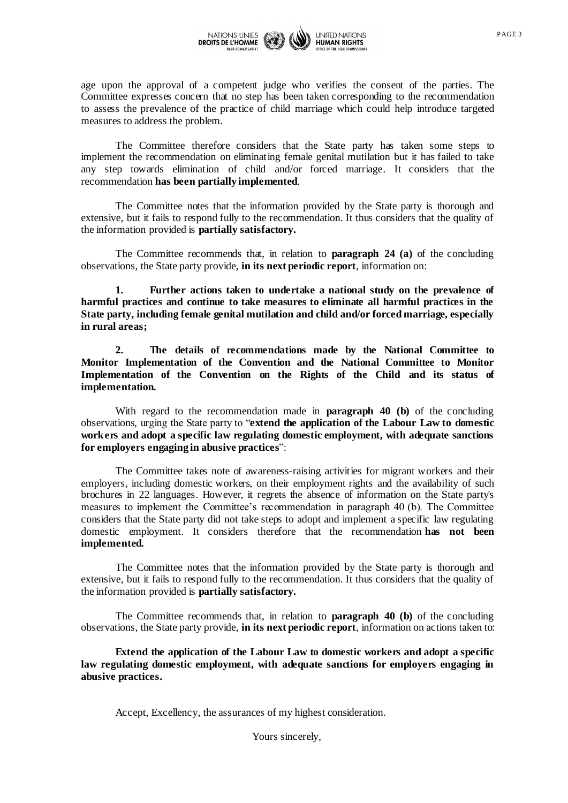

age upon the approval of a competent judge who verifies the consent of the parties. The Committee expresses concern that no step has been taken corresponding to the recommendation to assess the prevalence of the practice of child marriage which could help introduce targeted measures to address the problem.

The Committee therefore considers that the State party has taken some steps to implement the recommendation on eliminating female genital mutilation but it has failed to take any step towards elimination of child and/or forced marriage. It considers that the recommendation **has been partially implemented**.

The Committee notes that the information provided by the State party is thorough and extensive, but it fails to respond fully to the recommendation. It thus considers that the quality of the information provided is **partially satisfactory.**

The Committee recommends that, in relation to **paragraph 24 (a)** of the concluding observations, the State party provide, **in its next periodic report**, information on:

**1. Further actions taken to undertake a national study on the prevalence of harmful practices and continue to take measures to eliminate all harmful practices in the State party, including female genital mutilation and child and/or forced marriage, especially in rural areas;**

**2. The details of recommendations made by the National Committee to Monitor Implementation of the Convention and the National Committee to Monitor Implementation of the Convention on the Rights of the Child and its status of implementation.**

With regard to the recommendation made in **paragraph 40 (b)** of the concluding observations, urging the State party to "**extend the application of the Labour Law to domestic workers and adopt a specific law regulating domestic employment, with adequate sanctions for employers engaging in abusive practices**":

The Committee takes note of awareness-raising activities for migrant workers and their employers, including domestic workers, on their employment rights and the availability of such brochures in 22 languages. However, it regrets the absence of information on the State party's measures to implement the Committee's recommendation in paragraph 40 (b). The Committee considers that the State party did not take steps to adopt and implement a specific law regulating domestic employment. It considers therefore that the recommendation **has not been implemented.**

The Committee notes that the information provided by the State party is thorough and extensive, but it fails to respond fully to the recommendation. It thus considers that the quality of the information provided is **partially satisfactory.**

The Committee recommends that, in relation to **paragraph 40 (b)** of the concluding observations, the State party provide, **in its next periodic report**, information on actions taken to:

**Extend the application of the Labour Law to domestic workers and adopt a specific law regulating domestic employment, with adequate sanctions for employers engaging in abusive practices.**

Accept, Excellency, the assurances of my highest consideration.

Yours sincerely,